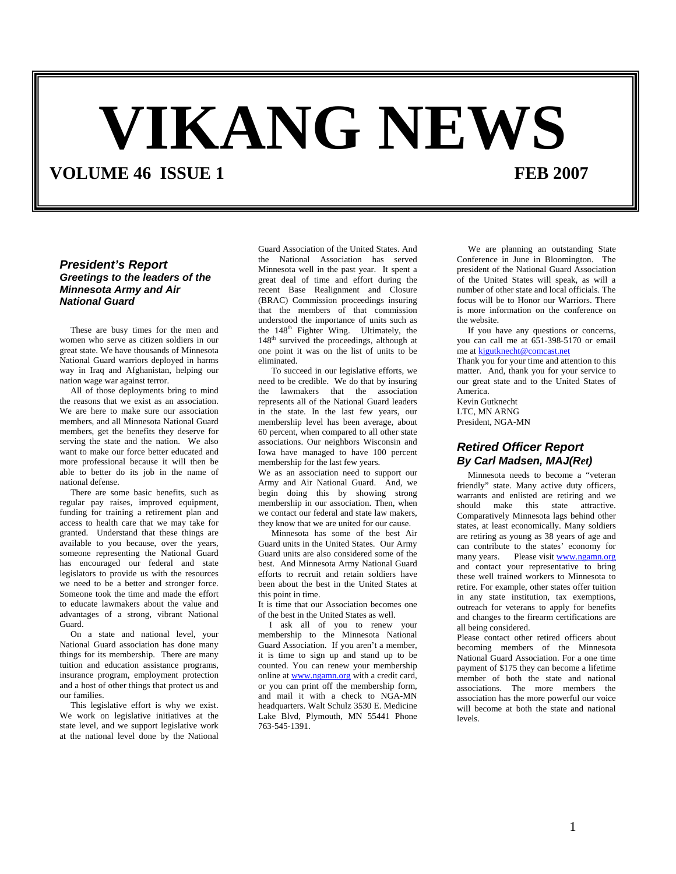# **VIKANG NEWS**

**VOLUME 46 ISSUE 1** FEB 2007

# *President's Report Greetings to the leaders of the Minnesota Army and Air National Guard*

These are busy times for the men and women who serve as citizen soldiers in our great state. We have thousands of Minnesota National Guard warriors deployed in harms way in Iraq and Afghanistan, helping our nation wage war against terror.

All of those deployments bring to mind the reasons that we exist as an association. We are here to make sure our association members, and all Minnesota National Guard members, get the benefits they deserve for serving the state and the nation. We also want to make our force better educated and more professional because it will then be able to better do its job in the name of national defense.

There are some basic benefits, such as regular pay raises, improved equipment, funding for training a retirement plan and access to health care that we may take for granted. Understand that these things are available to you because, over the years, someone representing the National Guard has encouraged our federal and state legislators to provide us with the resources we need to be a better and stronger force. Someone took the time and made the effort to educate lawmakers about the value and advantages of a strong, vibrant National Guard.

On a state and national level, your National Guard association has done many things for its membership. There are many tuition and education assistance programs, insurance program, employment protection and a host of other things that protect us and our families.

This legislative effort is why we exist. We work on legislative initiatives at the state level, and we support legislative work at the national level done by the National

Guard Association of the United States. And the National Association has served Minnesota well in the past year. It spent a great deal of time and effort during the recent Base Realignment and Closure (BRAC) Commission proceedings insuring that the members of that commission understood the importance of units such as the  $148<sup>th</sup>$  Fighter Wing. Ultimately, the 148<sup>th</sup> survived the proceedings, although at one point it was on the list of units to be eliminated.

 To succeed in our legislative efforts, we need to be credible. We do that by insuring the lawmakers that the association represents all of the National Guard leaders in the state. In the last few years, our membership level has been average, about 60 percent, when compared to all other state associations. Our neighbors Wisconsin and Iowa have managed to have 100 percent membership for the last few years.

We as an association need to support our Army and Air National Guard. And, we begin doing this by showing strong membership in our association. Then, when we contact our federal and state law makers, they know that we are united for our cause.

Minnesota has some of the best Air Guard units in the United States. Our Army Guard units are also considered some of the best. And Minnesota Army National Guard efforts to recruit and retain soldiers have been about the best in the United States at this point in time.

It is time that our Association becomes one of the best in the United States as well.

I ask all of you to renew your membership to the Minnesota National Guard Association. If you aren't a member, it is time to sign up and stand up to be counted. You can renew your membership online at www.ngamn.org with a credit card, or you can print off the membership form, and mail it with a check to NGA-MN headquarters. Walt Schulz 3530 E. Medicine Lake Blvd, Plymouth, MN 55441 Phone 763-545-1391.

We are planning an outstanding State Conference in June in Bloomington. The president of the National Guard Association of the United States will speak, as will a number of other state and local officials. The focus will be to Honor our Warriors. There is more information on the conference on the website.

If you have any questions or concerns, you can call me at 651-398-5170 or email me at kjgutknecht@comcast.net

Thank you for your time and attention to this matter. And, thank you for your service to our great state and to the United States of America.

Kevin Gutknecht LTC, MN ARNG President, NGA-MN

# *Retired Officer Report By Carl Madsen, MAJ(Ret)*

Minnesota needs to become a "veteran friendly" state. Many active duty officers, warrants and enlisted are retiring and we should make this state attractive. Comparatively Minnesota lags behind other states, at least economically. Many soldiers are retiring as young as 38 years of age and can contribute to the states' economy for many years. Please visit www.ngamn.org and contact your representative to bring these well trained workers to Minnesota to retire. For example, other states offer tuition in any state institution, tax exemptions, outreach for veterans to apply for benefits and changes to the firearm certifications are all being considered.

Please contact other retired officers about becoming members of the Minnesota National Guard Association. For a one time payment of \$175 they can become a lifetime member of both the state and national associations. The more members the association has the more powerful our voice will become at both the state and national levels.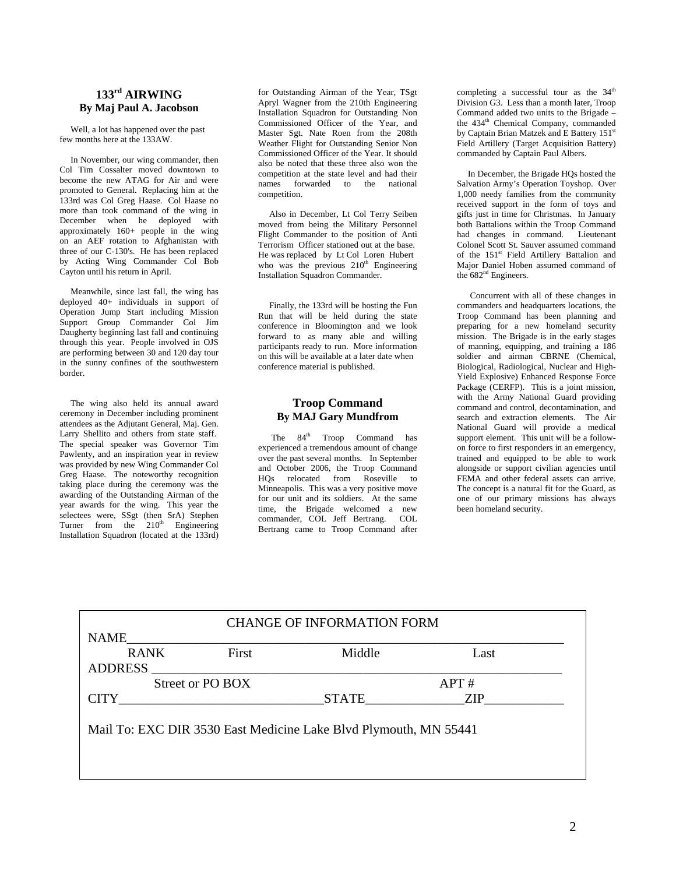# **133rd AIRWING By Maj Paul A. Jacobson**

 Well, a lot has happened over the past few months here at the 133AW.

In November, our wing commander, then Col Tim Cossalter moved downtown to become the new ATAG for Air and were promoted to General. Replacing him at the 133rd was Col Greg Haase. Col Haase no more than took command of the wing in December when he deployed with approximately 160+ people in the wing on an AEF rotation to Afghanistan with three of our C-130's. He has been replaced by Acting Wing Commander Col Bob Cayton until his return in April.

Meanwhile, since last fall, the wing has deployed 40+ individuals in support of Operation Jump Start including Mission Support Group Commander Col Jim Daugherty beginning last fall and continuing through this year. People involved in OJS are performing between 30 and 120 day tour in the sunny confines of the southwestern border.

The wing also held its annual award ceremony in December including prominent attendees as the Adjutant General, Maj. Gen. Larry Shellito and others from state staff. The special speaker was Governor Tim Pawlenty, and an inspiration year in review was provided by new Wing Commander Col Greg Haase. The noteworthy recognition taking place during the ceremony was the awarding of the Outstanding Airman of the year awards for the wing. This year the selectees were, SSgt (then SrA) Stephen Turner from the  $210<sup>th</sup>$  Engineering Installation Squadron (located at the 133rd)

for Outstanding Airman of the Year, TSgt Apryl Wagner from the 210th Engineering Installation Squadron for Outstanding Non Commissioned Officer of the Year, and Master Sgt. Nate Roen from the 208th Weather Flight for Outstanding Senior Non Commissioned Officer of the Year. It should also be noted that these three also won the competition at the state level and had their names forwarded to the national competition.

 Also in December, Lt Col Terry Seiben moved from being the Military Personnel Flight Commander to the position of Anti Terrorism Officer stationed out at the base. He was replaced by Lt Col Loren Hubert who was the previous  $210<sup>th</sup>$  Engineering Installation Squadron Commander.

Finally, the 133rd will be hosting the Fun Run that will be held during the state conference in Bloomington and we look forward to as many able and willing participants ready to run. More information on this will be available at a later date when conference material is published.

## **Troop Command By MAJ Gary Mundfrom**

The 84<sup>th</sup> Troop Command has experienced a tremendous amount of change over the past several months. In September and October 2006, the Troop Command HQs relocated from Roseville to Minneapolis. This was a very positive move for our unit and its soldiers. At the same time, the Brigade welcomed a new commander, COL Jeff Bertrang. COL Bertrang came to Troop Command after

completing a successful tour as the  $34<sup>th</sup>$ Division G3. Less than a month later, Troop Command added two units to the Brigade – the 434<sup>th</sup> Chemical Company, commanded by Captain Brian Matzek and E Battery 151<sup>st</sup> Field Artillery (Target Acquisition Battery) commanded by Captain Paul Albers.

 In December, the Brigade HQs hosted the Salvation Army's Operation Toyshop. Over 1,000 needy families from the community received support in the form of toys and gifts just in time for Christmas. In January both Battalions within the Troop Command<br>had changes in command. Lieutenant had changes in command. Colonel Scott St. Sauver assumed command of the 151st Field Artillery Battalion and Major Daniel Hoben assumed command of the 682<sup>nd</sup> Engineers.

Concurrent with all of these changes in commanders and headquarters locations, the Troop Command has been planning and preparing for a new homeland security mission. The Brigade is in the early stages of manning, equipping, and training a 186 soldier and airman CBRNE (Chemical, Biological, Radiological, Nuclear and High-Yield Explosive) Enhanced Response Force Package (CERFP). This is a joint mission, with the Army National Guard providing command and control, decontamination, and search and extraction elements. The Air National Guard will provide a medical support element. This unit will be a followon force to first responders in an emergency, trained and equipped to be able to work alongside or support civilian agencies until FEMA and other federal assets can arrive. The concept is a natural fit for the Guard, as one of our primary missions has always been homeland security.

| <b>CHANGE OF INFORMATION FORM</b>                                |       |                     |      |  |  |  |  |  |  |
|------------------------------------------------------------------|-------|---------------------|------|--|--|--|--|--|--|
| <b>NAME</b>                                                      |       |                     |      |  |  |  |  |  |  |
| <b>RANK</b>                                                      | First | Middle              | Last |  |  |  |  |  |  |
| <b>ADDRESS</b>                                                   |       |                     |      |  |  |  |  |  |  |
| Street or PO BOX<br>APT#                                         |       |                     |      |  |  |  |  |  |  |
| <b>CITY</b>                                                      |       | STATE<br><b>ZIP</b> |      |  |  |  |  |  |  |
|                                                                  |       |                     |      |  |  |  |  |  |  |
| Mail To: EXC DIR 3530 East Medicine Lake Blvd Plymouth, MN 55441 |       |                     |      |  |  |  |  |  |  |
|                                                                  |       |                     |      |  |  |  |  |  |  |
|                                                                  |       |                     |      |  |  |  |  |  |  |
|                                                                  |       |                     |      |  |  |  |  |  |  |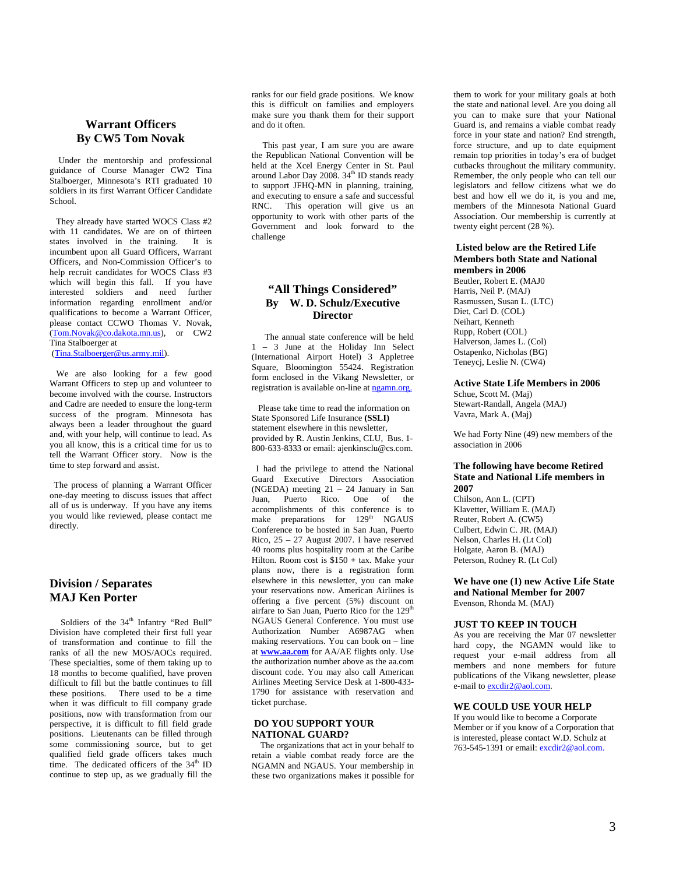## **Warrant Officers By CW5 Tom Novak**

 Under the mentorship and professional guidance of Course Manager CW2 Tina Stalboerger, Minnesota's RTI graduated 10 soldiers in its first Warrant Officer Candidate School.

They already have started WOCS Class #2 with 11 candidates. We are on of thirteen states involved in the training. It is incumbent upon all Guard Officers, Warrant Officers, and Non-Commission Officer's to help recruit candidates for WOCS Class #3 which will begin this fall. If you have interested soldiers and need further information regarding enrollment and/or qualifications to become a Warrant Officer, please contact CCWO Thomas V. Novak, ([Tom.Novak@co.dakota.mn.us\)](mailto:Tom.Novak@co.dakota.mn.us), or CW2 Tina Stalboerger at ([Tina.Stalboerger@us.army.mil\)](mailto:Tina.Stalboerger@us.army.mil).

We are also looking for a few good Warrant Officers to step up and volunteer to become involved with the course. Instructors and Cadre are needed to ensure the long-term success of the program. Minnesota has always been a leader throughout the guard and, with your help, will continue to lead. As you all know, this is a critical time for us to tell the Warrant Officer story. Now is the time to step forward and assist.

The process of planning a Warrant Officer one-day meeting to discuss issues that affect all of us is underway. If you have any items you would like reviewed, please contact me directly.

# **Division / Separates MAJ Ken Porter**

Soldiers of the 34<sup>th</sup> Infantry "Red Bull" Division have completed their first full year of transformation and continue to fill the ranks of all the new MOS/AOCs required. These specialties, some of them taking up to 18 months to become qualified, have proven difficult to fill but the battle continues to fill these positions. There used to be a time when it was difficult to fill company grade positions, now with transformation from our perspective, it is difficult to fill field grade positions. Lieutenants can be filled through some commissioning source, but to get qualified field grade officers takes much time. The dedicated officers of the 34<sup>th</sup> ID continue to step up, as we gradually fill the

ranks for our field grade positions. We know this is difficult on families and employers make sure you thank them for their support and do it often.

This past year, I am sure you are aware the Republican National Convention will be held at the Xcel Energy Center in St. Paul around Labor Day  $2008.34^{\text{th}}$  ID stands ready to support JFHQ-MN in planning, training, and executing to ensure a safe and successful RNC. This operation will give us an opportunity to work with other parts of the Government and look forward to the challenge

## **"All Things Considered" By W. D. Schulz/Executive Director**

The annual state conference will be held 1 – 3 June at the Holiday Inn Select (International Airport Hotel) 3 Appletree Square, Bloomington 55424. Registration form enclosed in the Vikang Newsletter, or registration is available on-line at ngamn.org.

 Please take time to read the information on State Sponsored Life Insurance **(SSLI)** statement elsewhere in this newsletter, provided by R. Austin Jenkins, CLU, Bus. 1- 800-633-8333 or email: ajenkinsclu@cs.com.

I had the privilege to attend the National Guard Executive Directors Association (NGEDA) meeting 21 – 24 January in San Juan, Puerto Rico. One of the accomplishments of this conference is to make preparations for 129<sup>th</sup> NGAUS Conference to be hosted in San Juan, Puerto Rico, 25 – 27 August 2007. I have reserved 40 rooms plus hospitality room at the Caribe Hilton. Room cost is  $$150 + tax$ . Make your plans now, there is a registration form elsewhere in this newsletter, you can make your reservations now. American Airlines is offering a five percent (5%) discount on airfare to San Juan, Puerto Rico for the 129<sup>th</sup> NGAUS General Conference. You must use Authorization Number A6987AG when making reservations. You can book on – line at **[www.aa.com](http://www.aa.com/)** for AA/AE flights only. Use the authorization number above as the aa.com discount code. You may also call American Airlines Meeting Service Desk at 1-800-433- 1790 for assistance with reservation and ticket purchase.

#### **DO YOU SUPPORT YOUR NATIONAL GUARD?**

The organizations that act in your behalf to retain a viable combat ready force are the NGAMN and NGAUS. Your membership in these two organizations makes it possible for

them to work for your military goals at both the state and national level. Are you doing all you can to make sure that your National Guard is, and remains a viable combat ready force in your state and nation? End strength, force structure, and up to date equipment remain top priorities in today's era of budget cutbacks throughout the military community. Remember, the only people who can tell our legislators and fellow citizens what we do best and how ell we do it, is you and me, members of the Minnesota National Guard Association. Our membership is currently at twenty eight percent (28 %).

#### **Listed below are the Retired Life Members both State and National members in 2006** Beutler, Robert E. (MAJ0

Harris, Neil P. (MAJ) Rasmussen, Susan L. (LTC) Diet, Carl D. (COL) Neihart, Kenneth Rupp, Robert (COL) Halverson, James L. (Col) Ostapenko, Nicholas (BG) Teneycj, Leslie N. (CW4)

#### **Active State Life Members in 2006**

Schue, Scott M. (Maj) Stewart-Randall, Angela (MAJ) Vavra, Mark A. (Maj)

We had Forty Nine (49) new members of the association in 2006

#### **The following have become Retired State and National Life members in 2007**

Chilson, Ann L. (CPT) Klavetter, William E. (MAJ) Reuter, Robert A. (CW5) Culbert, Edwin C. JR. (MAJ) Nelson, Charles H. (Lt Col) Holgate, Aaron B. (MAJ) Peterson, Rodney R. (Lt Col)

**We have one (1) new Active Life State and National Member for 2007** Evenson, Rhonda M. (MAJ)

#### **JUST TO KEEP IN TOUCH**

As you are receiving the Mar 07 newsletter hard copy, the NGAMN would like to request your e-mail address from all members and none members for future publications of the Vikang newsletter, please e-mail to excdir2@aol.com.

#### **WE COULD USE YOUR HELP**

If you would like to become a Corporate Member or if you know of a Corporation that is interested, please contact W.D. Schulz at 763-545-1391 or email: excdir2@aol.com.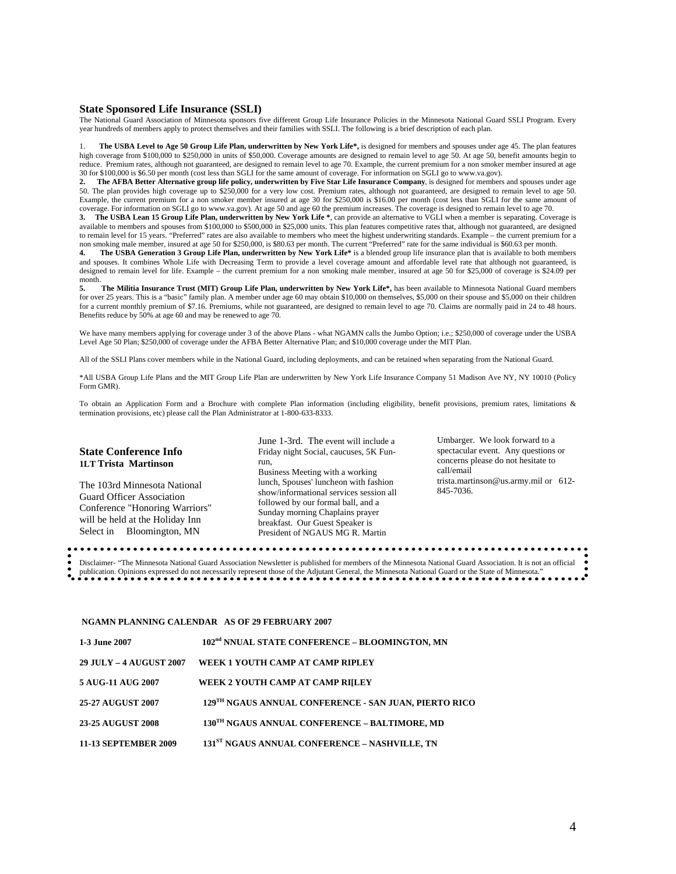#### **State Sponsored Life Insurance (SSLI)**

The National Guard Association of Minnesota sponsors five different Group Life Insurance Policies in the Minnesota National Guard SSLI Program. Every year hundreds of members apply to protect themselves and their families with SSLI. The following is a brief description of each plan.

1. **The USBA Level to Age 50 Group Life Plan, underwritten by New York Life\*,** is designed for members and spouses under age 45. The plan features high coverage from \$100,000 to \$250,000 in units of \$50,000. Coverage amounts are designed to remain level to age 50. At age 50, benefit amounts begin to reduce. Premium rates, although not guaranteed, are designed to remain level to age 70. Example, the current premium for a non smoker member insured at age 30 for \$100,000 is \$6.50 per month (cost less than SGLI for the same amount of coverage. For information on SGLI go to www.va.gov).

**2. The AFBA Better Alternative group life policy, underwritten by Five Star Life Insurance Company**, is designed for members and spouses under age 50. The plan provides high coverage up to \$250,000 for a very low cost. Premium rates, although not guaranteed, are designed to remain level to age 50. Example, the current premium for a non smoker member insured at age 30 for \$250,000 is \$16.00 per month (cost less than SGLI for the same amount of coverage. For information on SGLI go to www.va.gov). At age 50 and age 60 the premium increases. The coverage is designed to remain level to age 70.

**3. The USBA Lean 15 Group Life Plan, underwritten by New York Life \***, can provide an alternative to VGLI when a member is separating. Coverage is available to members and spouses from \$100,000 to \$500,000 in \$25,000 units. This plan features competitive rates that, although not guaranteed, are designed to remain level for 15 years. "Preferred" rates are also available to members who meet the highest underwriting standards. Example – the current premium for a non smoking male member, insured at age 50 for \$250,000, is \$80.63 per month. The current "Preferred" rate for the same individual is \$60.63 per month.

The USBA Generation 3 Group Life Plan, underwritten by New York Life\* is a blended group life insurance plan that is available to both members and spouses. It combines Whole Life with Decreasing Term to provide a level coverage amount and affordable level rate that although not guaranteed, is designed to remain level for life. Example – the current premium for a non smoking male member, insured at age 50 for \$25,000 of coverage is \$24.09 per month.

**5. The Militia Insurance Trust (MIT) Group Life Plan, underwritten by New York Life\*,** has been available to Minnesota National Guard members for over 25 years. This is a "basic" family plan. A member under age 60 may obtain \$10,000 on themselves, \$5,000 on their spouse and \$5,000 on their children for a current monthly premium of \$7.16. Premiums, while not guaranteed, are designed to remain level to age 70. Claims are normally paid in 24 to 48 hours. Benefits reduce by 50% at age 60 and may be renewed to age 70.

We have many members applying for coverage under 3 of the above Plans - what NGAMN calls the Jumbo Option; i.e.; \$250,000 of coverage under the USBA Level Age 50 Plan; \$250,000 of coverage under the AFBA Better Alternative Plan; and \$10,000 coverage under the MIT Plan.

All of the SSLI Plans cover members while in the National Guard, including deployments, and can be retained when separating from the National Guard.

\*All USBA Group Life Plans and the MIT Group Life Plan are underwritten by New York Life Insurance Company 51 Madison Ave NY, NY 10010 (Policy Form GMR).

To obtain an Application Form and a Brochure with complete Plan information (including eligibility, benefit provisions, premium rates, limitations & termination provisions, etc) please call the Plan Administrator at 1-800-633-8333.

June 1-3rd. The event will include a

| Business Meeting with a working<br>lunch, Spouses' luncheon with fashion<br>The 103rd Minnesota National                                                                                                                                                                                                                     |                                                                   |
|------------------------------------------------------------------------------------------------------------------------------------------------------------------------------------------------------------------------------------------------------------------------------------------------------------------------------|-------------------------------------------------------------------|
| show/informational services session all<br><b>Guard Officer Association</b><br>followed by our formal ball, and a<br>Conference "Honoring Warriors"<br>Sunday morning Chaplains prayer<br>will be held at the Holiday Inn<br>breakfast. Our Guest Speaker is<br>Select in Bloomington, MN<br>President of NGAUS MG R. Martin | call/email<br>trista.martinson@us.army.mil or $612-$<br>845-7036. |

Disclaimer- "The Minnesota National Guard Association Newsletter is published for members of the Minnesota National Guard Association. It is not an official publication. Opinions expressed do not necessarily represent those of the Adjutant General, the Minnesota National Guard or the State of Minnesota."

#### **NGAMN PLANNING CALENDAR AS OF 29 FEBRUARY 2007**

| 1-3 June 2007                  | 102 <sup>nd</sup> NNUAL STATE CONFERENCE - BLOOMINGTON, MN |
|--------------------------------|------------------------------------------------------------|
| <b>29 JULY - 4 AUGUST 2007</b> | WEEK 1 YOUTH CAMP AT CAMP RIPLEY                           |
| 5 AUG-11 AUG 2007              | WEEK 2 YOUTH CAMP AT CAMP RIJLEY                           |
| <b>25-27 AUGUST 2007</b>       | 129TH NGAUS ANNUAL CONFERENCE - SAN JUAN, PIERTO RICO      |
| <b>23-25 AUGUST 2008</b>       | 130TH NGAUS ANNUAL CONFERENCE - BALTIMORE, MD              |
| <b>11-13 SEPTEMBER 2009</b>    | 131 <sup>ST</sup> NGAUS ANNUAL CONFERENCE - NASHVILLE, TN  |

Umbarger. We look forward to a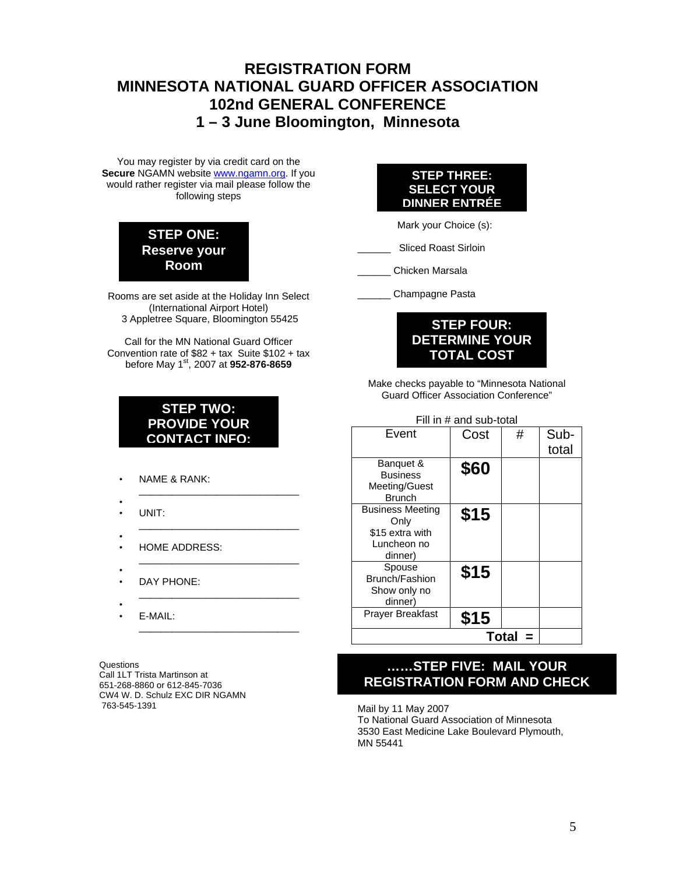# **REGISTRATION FORM MINNESOTA NATIONAL GUARD OFFICER ASSOCIATION 102nd GENERAL CONFERENCE 1 – 3 June Bloomington, Minnesota**

You may register by via credit card on the **Secure** NGAMN website **[www.ngamn.org.](http://www.ngamn.org/)** If you would rather register via mail please follow the following steps

# **STEP ONE: Reserve your Room**

Rooms are set aside at the Holiday Inn Select (International Airport Hotel) 3 Appletree Square, Bloomington 55425

Call for the MN National Guard Officer Convention rate of \$82 + tax Suite \$102 + tax before May 1st, 2007 at **952-876-8659** 

# **STEP TWO: PROVIDE YOUR CONTACT INFO:**

\_\_\_\_\_\_\_\_\_\_\_\_\_\_\_\_\_\_\_\_\_\_\_\_\_\_\_\_\_

\_\_\_\_\_\_\_\_\_\_\_\_\_\_\_\_\_\_\_\_\_\_\_\_\_\_\_\_\_

\_\_\_\_\_\_\_\_\_\_\_\_\_\_\_\_\_\_\_\_\_\_\_\_\_\_\_\_\_

\_\_\_\_\_\_\_\_\_\_\_\_\_\_\_\_\_\_\_\_\_\_\_\_\_\_\_\_\_

- NAME & RANK:
- UNIT:
- • HOME ADDRESS:
- • DAY PHONE:
- •
- E-MAIL: \_\_\_\_\_\_\_\_\_\_\_\_\_\_\_\_\_\_\_\_\_\_\_\_\_\_\_\_\_

Questions Call 1LT Trista Martinson at 651-268-8860 or 612-845-7036 CW4 W. D. Schulz EXC DIR NGAMN 763-545-1391

# **STEP THREE: SELECT YOUR DINNER ENTRÉE**

Mark your Choice (s):

Sliced Roast Sirloin

\_\_\_\_\_\_ Chicken Marsala

\_\_\_\_\_\_ Champagne Pasta



Make checks payable to "Minnesota National Guard Officer Association Conference"

| Fill in # and sub-total      |      |   |       |  |  |  |  |  |
|------------------------------|------|---|-------|--|--|--|--|--|
| Event                        | Cost | # | Sub-  |  |  |  |  |  |
|                              |      |   | total |  |  |  |  |  |
| Banquet &<br><b>Business</b> | \$60 |   |       |  |  |  |  |  |
| Meeting/Guest                |      |   |       |  |  |  |  |  |
| <b>Brunch</b>                |      |   |       |  |  |  |  |  |
| <b>Business Meeting</b>      | \$15 |   |       |  |  |  |  |  |
| Only                         |      |   |       |  |  |  |  |  |
| \$15 extra with              |      |   |       |  |  |  |  |  |
| Luncheon no                  |      |   |       |  |  |  |  |  |
| dinner)                      |      |   |       |  |  |  |  |  |
| Spouse                       | \$15 |   |       |  |  |  |  |  |
| Brunch/Fashion               |      |   |       |  |  |  |  |  |
| Show only no                 |      |   |       |  |  |  |  |  |
| dinner)                      |      |   |       |  |  |  |  |  |
| Prayer Breakfast             | \$15 |   |       |  |  |  |  |  |
|                              |      |   |       |  |  |  |  |  |

# **……STEP FIVE: MAIL YOUR REGISTRATION FORM AND CHECK**

I Mail by 11 May 2007 To National Guard Association of Minnesota 3530 East Medicine Lake Boulevard Plymouth, MN 55441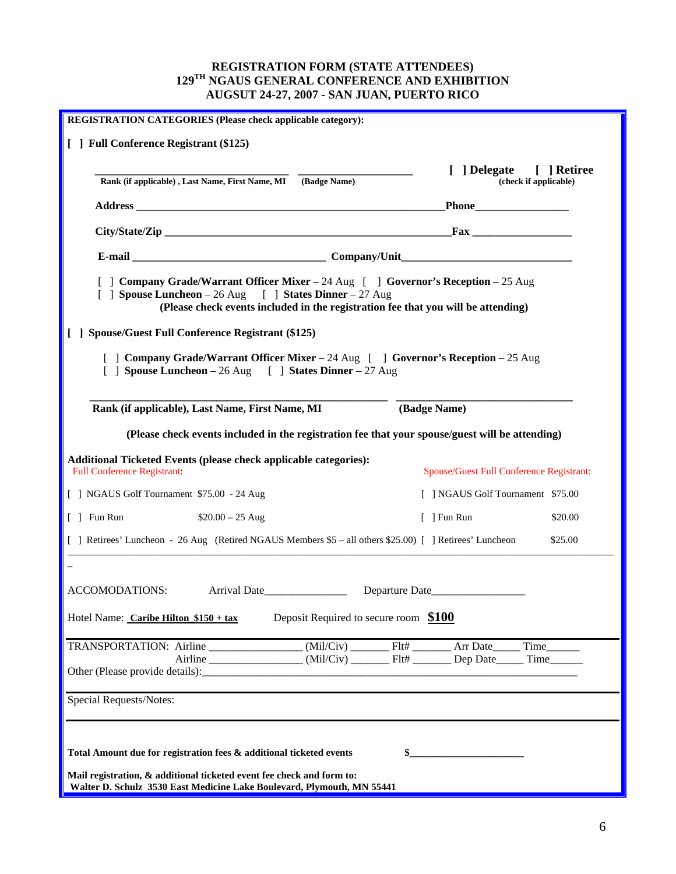## **REGISTRATION FORM (STATE ATTENDEES) 129TH NGAUS GENERAL CONFERENCE AND EXHIBITION AUGSUT 24-27, 2007 - SAN JUAN, PUERTO RICO**

| REGISTRATION CATEGORIES (Please check applicable category):                                                                                                                                                                                                                               |  |  |                                          |                       |  |  |  |  |  |  |
|-------------------------------------------------------------------------------------------------------------------------------------------------------------------------------------------------------------------------------------------------------------------------------------------|--|--|------------------------------------------|-----------------------|--|--|--|--|--|--|
| [ ] Full Conference Registrant (\$125)                                                                                                                                                                                                                                                    |  |  |                                          |                       |  |  |  |  |  |  |
| Rank (if applicable), Last Name, First Name, MI (Badge Name)                                                                                                                                                                                                                              |  |  | [ ] Delegate [ ] Retiree                 | (check if applicable) |  |  |  |  |  |  |
|                                                                                                                                                                                                                                                                                           |  |  |                                          |                       |  |  |  |  |  |  |
|                                                                                                                                                                                                                                                                                           |  |  |                                          |                       |  |  |  |  |  |  |
|                                                                                                                                                                                                                                                                                           |  |  |                                          |                       |  |  |  |  |  |  |
| [ ] Company Grade/Warrant Officer Mixer – 24 Aug [ ] Governor's Reception – 25 Aug<br>[ ] Spouse Luncheon - 26 Aug [ ] States Dinner - 27 Aug<br>(Please check events included in the registration fee that you will be attending)<br>[ ] Spouse/Guest Full Conference Registrant (\$125) |  |  |                                          |                       |  |  |  |  |  |  |
| [ ] Company Grade/Warrant Officer Mixer – 24 Aug [ ] Governor's Reception – 25 Aug<br>[ ] Spouse Luncheon - 26 Aug [ ] States Dinner - 27 Aug                                                                                                                                             |  |  |                                          |                       |  |  |  |  |  |  |
| (Badge Name)<br>Rank (if applicable), Last Name, First Name, MI                                                                                                                                                                                                                           |  |  |                                          |                       |  |  |  |  |  |  |
| (Please check events included in the registration fee that your spouse/guest will be attending)                                                                                                                                                                                           |  |  |                                          |                       |  |  |  |  |  |  |
| <b>Additional Ticketed Events (please check applicable categories):</b><br><b>Full Conference Registrant:</b>                                                                                                                                                                             |  |  | Spouse/Guest Full Conference Registrant: |                       |  |  |  |  |  |  |
| [ ] NGAUS Golf Tournament \$75.00 - 24 Aug                                                                                                                                                                                                                                                |  |  | [ ] NGAUS Golf Tournament \$75.00        |                       |  |  |  |  |  |  |
| $\lceil \,\rceil$ Fun Run<br>$$20.00 - 25$ Aug<br>$\lceil$ ] Fun Run<br>\$20.00                                                                                                                                                                                                           |  |  |                                          |                       |  |  |  |  |  |  |
| [ ] Retirees' Luncheon - 26 Aug (Retired NGAUS Members \$5 - all others \$25.00) [ ] Retirees' Luncheon                                                                                                                                                                                   |  |  |                                          | \$25.00               |  |  |  |  |  |  |
|                                                                                                                                                                                                                                                                                           |  |  |                                          |                       |  |  |  |  |  |  |
| ACCOMODATIONS:                                                                                                                                                                                                                                                                            |  |  |                                          |                       |  |  |  |  |  |  |
| Deposit Required to secure room \$100<br>Hotel Name: Caribe Hilton \$150 + tax                                                                                                                                                                                                            |  |  |                                          |                       |  |  |  |  |  |  |
| TRANSPORTATION: Airline ________________(Mil/Civ) ________Flt# ________ Arr Date_____                                                                                                                                                                                                     |  |  |                                          | Time                  |  |  |  |  |  |  |
|                                                                                                                                                                                                                                                                                           |  |  |                                          | Time                  |  |  |  |  |  |  |
| <b>Special Requests/Notes:</b>                                                                                                                                                                                                                                                            |  |  |                                          |                       |  |  |  |  |  |  |
|                                                                                                                                                                                                                                                                                           |  |  |                                          |                       |  |  |  |  |  |  |
| Total Amount due for registration fees & additional ticketed events<br>\$_                                                                                                                                                                                                                |  |  |                                          |                       |  |  |  |  |  |  |
| Mail registration, & additional ticketed event fee check and form to:<br>Walter D. Schulz 3530 East Medicine Lake Boulevard, Plymouth, MN 55441                                                                                                                                           |  |  |                                          |                       |  |  |  |  |  |  |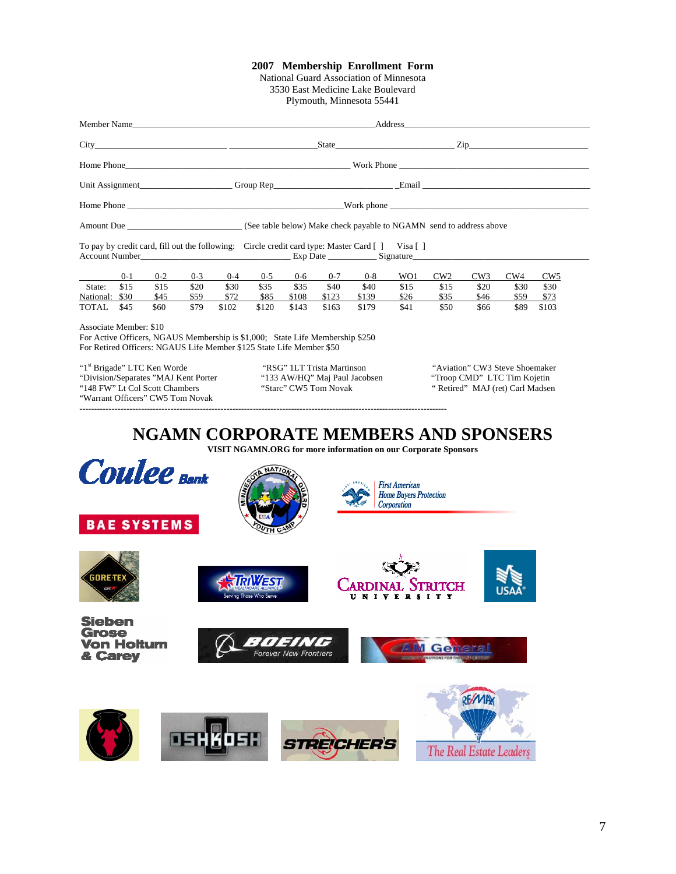#### **2007 Membership Enrollment Form**

National Guard Association of Minnesota 3530 East Medicine Lake Boulevard Plymouth, Minnesota 55441

|                                                                                                                                                                                 |         |         |         |         | Address and the state of the state of the state of the state of the state of the state of the state of the state of the state of the state of the state of the state of the state of the state of the state of the state of th |         |         |         |      |      |      |      |                 |  |
|---------------------------------------------------------------------------------------------------------------------------------------------------------------------------------|---------|---------|---------|---------|--------------------------------------------------------------------------------------------------------------------------------------------------------------------------------------------------------------------------------|---------|---------|---------|------|------|------|------|-----------------|--|
|                                                                                                                                                                                 |         |         |         |         | State <u>Zip</u> Zip                                                                                                                                                                                                           |         |         |         |      |      |      |      |                 |  |
|                                                                                                                                                                                 |         |         |         |         |                                                                                                                                                                                                                                |         |         |         |      |      |      |      |                 |  |
|                                                                                                                                                                                 |         |         |         |         |                                                                                                                                                                                                                                |         |         |         |      |      |      |      |                 |  |
|                                                                                                                                                                                 |         |         |         |         |                                                                                                                                                                                                                                |         |         |         |      |      |      |      |                 |  |
| Amount Due<br>(See table below) Make check payable to NGAMN send to address above                                                                                               |         |         |         |         |                                                                                                                                                                                                                                |         |         |         |      |      |      |      |                 |  |
| To pay by credit card, fill out the following: Circle credit card type: Master Card [] Visa []<br>Account Number Exp Date Exp Date Signature                                    |         |         |         |         |                                                                                                                                                                                                                                |         |         |         |      |      |      |      |                 |  |
|                                                                                                                                                                                 | $0 - 1$ | $0 - 2$ | $0 - 3$ | $0 - 4$ | $0 - 5$                                                                                                                                                                                                                        | $0 - 6$ | $0 - 7$ | $0 - 8$ | WO1  | CW2  | CW3  | CW4  | CW <sub>5</sub> |  |
| State:                                                                                                                                                                          | \$15    | \$15    | \$20    | \$30    | \$35                                                                                                                                                                                                                           | \$35    | \$40    | \$40    | \$15 | \$15 | \$20 | \$30 | \$30            |  |
| National:                                                                                                                                                                       | \$30    | \$45    | \$59    | \$72    | \$85                                                                                                                                                                                                                           | \$108   | \$123   | \$139   | \$26 | \$35 | \$46 | \$59 | \$73            |  |
| TOTAL                                                                                                                                                                           | \$45    | \$60    | \$79    | \$102   | \$120                                                                                                                                                                                                                          | \$143   | \$163   | \$179   | \$41 | \$50 | \$66 | \$89 | \$103           |  |
| Associate Member: \$10<br>For Active Officers, NGAUS Membership is \$1,000; State Life Membership \$250<br>For Retired Officers: NGAUS Life Member \$125 State Life Member \$50 |         |         |         |         |                                                                                                                                                                                                                                |         |         |         |      |      |      |      |                 |  |

"1<sup>st</sup> Brigade" LTC Ken Worde "RSG" 1LT Trista Martinson "Aviation" CW3 Steve Shoemaker<br>"Division/Separates "MAJ Kent Porter" "133 AW/HQ" Maj Paul Jacobsen "Troop CMD" LTC Tim Kojetin "Division/Separates "MAJ Kent Porter "133 AW/HQ" Maj Paul J<br>"148 FW" Lt Col Scott Chambers "Starc" CW5 Tom Novak "Warrant Officers" CW5 Tom Novak

**-----------------------------------------------------------------------------------------------------------------------------** 

" Retired" MAJ (ret) Carl Madsen

# **NGAMN CORPORATE MEMBERS AND SPONSERS**

**VISIT NGAMN.ORG for more information on our Corporate Sponsors**